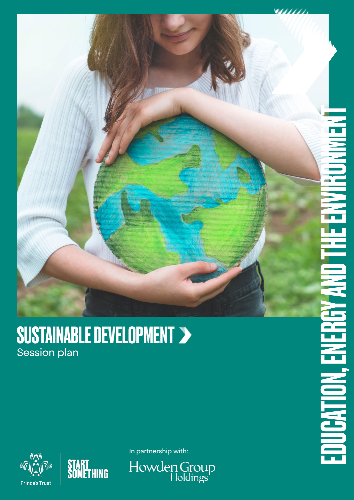

#### SUSTAINABLE DEVELOPMENT Session plan





In partnership with:

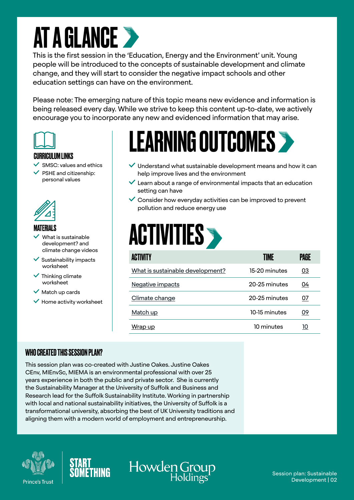### **AT A GLANCE >**

This is the first session in the 'Education, Energy and the Environment' unit. Young people will be introduced to the concepts of sustainable development and climate change, and they will start to consider the negative impact schools and other education settings can have on the environment.

Please note: The emerging nature of this topic means new evidence and information is being released every day. While we strive to keep this content up-to-date, we actively encourage you to incorporate any new and evidenced information that may arise.



#### CURRICULUM LINKS

- SMSC: values and ethics
- PSHE and citizenship: personal values



#### MATERIALS

- What is sustainable development? and climate change videos
- Sustainability impacts worksheet
- $\checkmark$  Thinking climate worksheet
- $\vee$  Match up cards
- $\checkmark$  Home activity worksheet

### LEARNING OUTCOMES

- $\checkmark$  Understand what sustainable development means and how it can help improve lives and the environment
- $\vee$  Learn about a range of environmental impacts that an education setting can have
- $\vee$  Consider how everyday activities can be improved to prevent pollution and reduce energy use

### **ACTIVITIES**

| <b>ACTIVITY</b>                  | TIME          | PAGE |
|----------------------------------|---------------|------|
| What is sustainable development? | 15-20 minutes | 03   |
| Negative impacts                 | 20-25 minutes | 04   |
| Climate change                   | 20-25 minutes | 07   |
| Match up                         | 10-15 minutes | 09   |
| Wrap up                          | 10 minutes    | 10   |

#### WHO CREATED THIS SESSION PLAN?

This session plan was co-created with Justine Oakes. Justine Oakes CEnv, MIEnvSc, MIEMA is an environmental professional with over 25 years experience in both the public and private sector. She is currently the Sustainability Manager at the University of Suffolk and Business and Research lead for the Suffolk Sustainability Institute. Working in partnership with local and national sustainability initiatives, the University of Suffolk is a transformational university, absorbing the best of UK University traditions and aligning them with a modern world of employment and entrepreneurship.





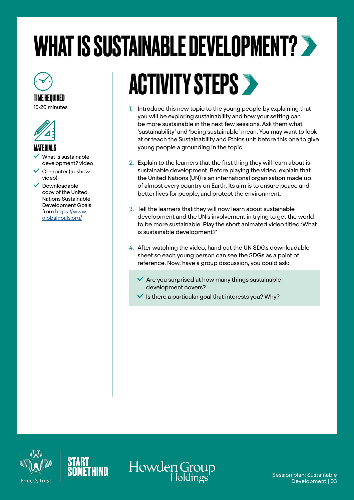# <span id="page-2-0"></span>WHAT IS SUSTAINABLE DEVELOPMENT?



#### TIME REQUIRED

15-20 minutes



#### MATERIALS

- What is sustainable development? video
- $\checkmark$  Computer (to show video)
- $\vee$  Downloadable copy of the United Nations Sustainable Development Goals from [https://www.](https://www.globalgoals.org/) [globalgoals.org/](https://www.globalgoals.org/)

### ACTIVITY STEPS

- 1. Introduce this new topic to the young people by explaining that you will be exploring sustainability and how your setting can be more sustainable in the next few sessions. Ask them what 'sustainability' and 'being sustainable' mean. You may want to look at or teach the Sustainability and Ethics unit before this one to give young people a grounding in the topic.
- 2. Explain to the learners that the first thing they will learn about is sustainable development. Before playing the video, explain that the United Nations (UN) is an international organisation made up of almost every country on Earth. Its aim is to ensure peace and better lives for people, and protect the environment.
- 3. Tell the learners that they will now learn about sustainable development and the UN's involvement in trying to get the world to be more sustainable. Play the short animated video titled 'What is sustainable development?'
- 4. After watching the video, hand out the UN SDGs downloadable sheet so each young person can see the SDGs as a point of reference. Now, have a group discussion, you could ask:
	- Are you surprised at how many things sustainable development covers?
	- $\checkmark$  is there a particular goal that interests you? Why?





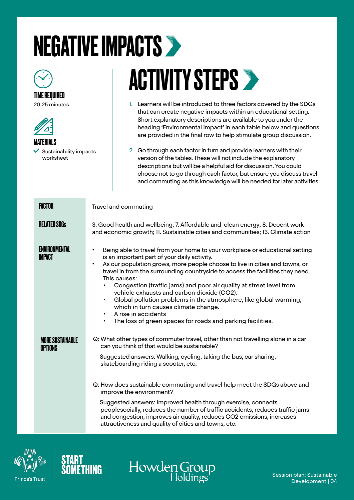# <span id="page-3-0"></span>NEGATIVE IMPACTS



#### TIME REQUIRED

20-25 minutes



 $\checkmark$  Sustainability impacts worksheet

## **ACTIVITY STEPS >**

- 1. Learners will be introduced to three factors covered by the SDGs that can create negative impacts within an educational setting. Short explanatory descriptions are available to you under the heading 'Environmental impact' in each table below and questions are provided in the final row to help stimulate group discussion.
- 2. Go through each factor in turn and provide learners with their version of the tables. These will not include the explanatory descriptions but will be a helpful aid for discussion. You could choose not to go through each factor, but ensure you discuss travel and commuting as this knowledge will be needed for later activities.

| <b>FACTOR</b>                             | Travel and commuting                                                                                                                                                                                                                                                                                                                                                                                                                                                                                                                                                                                                                                   |
|-------------------------------------------|--------------------------------------------------------------------------------------------------------------------------------------------------------------------------------------------------------------------------------------------------------------------------------------------------------------------------------------------------------------------------------------------------------------------------------------------------------------------------------------------------------------------------------------------------------------------------------------------------------------------------------------------------------|
| <b>RELATED SDGs</b>                       | 3. Good health and wellbeing; 7. Affordable and clean energy; 8. Decent work<br>and economic growth; 11. Sustainable cities and communities; 13. Climate action                                                                                                                                                                                                                                                                                                                                                                                                                                                                                        |
| <b>ENVIRONMENTAL</b><br><b>IMPACT</b>     | Being able to travel from your home to your workplace or educational setting<br>is an important part of your daily activity.<br>As our population grows, more people choose to live in cities and towns, or<br>travel in from the surrounding countryside to access the facilities they need.<br>This causes:<br>Congestion (traffic jams) and poor air quality at street level from<br>vehicle exhausts and carbon dioxide (CO2).<br>Global pollution problems in the atmosphere, like global warming,<br>٠<br>which in turn causes climate change.<br>A rise in accidents<br>The loss of green spaces for roads and parking facilities.<br>$\bullet$ |
| <b>MORE SUSTAINABLE</b><br><b>OPTIONS</b> | Q: What other types of commuter travel, other than not travelling alone in a car<br>can you think of that would be sustainable?<br>Suggested answers: Walking, cycling, taking the bus, car sharing,<br>skateboarding riding a scooter, etc.<br>Q: How does sustainable commuting and travel help meet the SDGs above and<br>improve the environment?<br>Suggested answers: Improved health through exercise, connects<br>peoplesocially, reduces the number of traffic accidents, reduces traffic jams<br>and congestion, improves air quality, reduces CO2 emissions, increases<br>attractiveness and quality of cities and towns, etc.              |





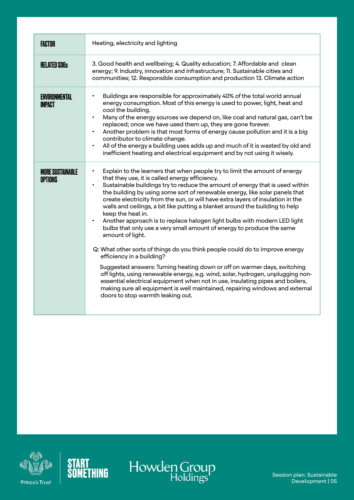| <b>FACTOR</b>                             | Heating, electricity and lighting                                                                                                                                                                                                                                                                                                                                                                                                                                                                                                                                                                                                                                                                                                                                                                                                                                                                                                                                                                                                                                                                                                                                                     |
|-------------------------------------------|---------------------------------------------------------------------------------------------------------------------------------------------------------------------------------------------------------------------------------------------------------------------------------------------------------------------------------------------------------------------------------------------------------------------------------------------------------------------------------------------------------------------------------------------------------------------------------------------------------------------------------------------------------------------------------------------------------------------------------------------------------------------------------------------------------------------------------------------------------------------------------------------------------------------------------------------------------------------------------------------------------------------------------------------------------------------------------------------------------------------------------------------------------------------------------------|
| <b>RELATED SDGs</b>                       | 3. Good health and wellbeing; 4. Quality education; 7. Affordable and clean<br>energy; 9. Industry, innovation and infrastructure; 11. Sustainable cities and<br>communities; 12. Responsible consumption and production 13. Climate action                                                                                                                                                                                                                                                                                                                                                                                                                                                                                                                                                                                                                                                                                                                                                                                                                                                                                                                                           |
| ENVIRONMENTAL<br>IMPACT                   | Buildings are responsible for approximately 40% of the total world annual<br>$\bullet$<br>energy consumption. Most of this energy is used to power, light, heat and<br>cool the building.<br>Many of the energy sources we depend on, like coal and natural gas, can't be<br>$\bullet$<br>replaced; once we have used them up, they are gone forever.<br>Another problem is that most forms of energy cause pollution and it is a big<br>$\bullet$<br>contributor to climate change.<br>All of the energy a building uses adds up and much of it is wasted by old and<br>$\bullet$<br>inefficient heating and electrical equipment and by not using it wisely.                                                                                                                                                                                                                                                                                                                                                                                                                                                                                                                        |
| <b>MORE SUSTAINABLE</b><br><b>OPTIONS</b> | Explain to the learners that when people try to limit the amount of energy<br>$\bullet$<br>that they use, it is called energy efficiency.<br>Sustainable buildings try to reduce the amount of energy that is used within<br>$\bullet$<br>the building by using some sort of renewable energy, like solar panels that<br>create electricity from the sun, or will have extra layers of insulation in the<br>walls and ceilings, a bit like putting a blanket around the building to help<br>keep the heat in.<br>Another approach is to replace halogen light bulbs with modern LED light<br>$\bullet$<br>bulbs that only use a very small amount of energy to produce the same<br>amount of light.<br>Q: What other sorts of things do you think people could do to improve energy<br>efficiency in a building?<br>Suggested answers: Turning heating down or off on warmer days, switching<br>off lights, using renewable energy, e.g. wind, solar, hydrogen, unplugging non-<br>essential electrical equipment when not in use, insulating pipes and boilers,<br>making sure all equipment is well maintained, repairing windows and external<br>doors to stop warmth leaking out. |





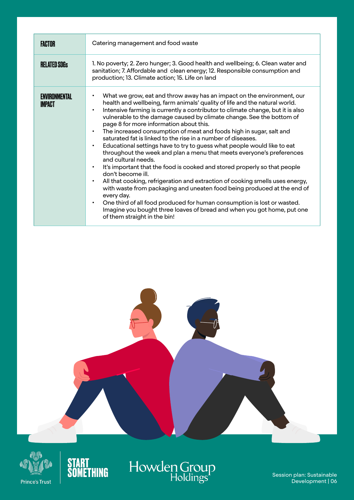| <b>FACTOR</b>                         | Catering management and food waste                                                                                                                                                                                                                                                                                                                                                                                                                                                                                                                                                                                                                                                                                                                                                                                                                                                                                                                                                                                                                                                                                                                                                                                                       |
|---------------------------------------|------------------------------------------------------------------------------------------------------------------------------------------------------------------------------------------------------------------------------------------------------------------------------------------------------------------------------------------------------------------------------------------------------------------------------------------------------------------------------------------------------------------------------------------------------------------------------------------------------------------------------------------------------------------------------------------------------------------------------------------------------------------------------------------------------------------------------------------------------------------------------------------------------------------------------------------------------------------------------------------------------------------------------------------------------------------------------------------------------------------------------------------------------------------------------------------------------------------------------------------|
| <b>RELATED SDGs</b>                   | 1. No poverty; 2. Zero hunger; 3. Good health and wellbeing; 6. Clean water and<br>sanitation; 7. Affordable and clean energy; 12. Responsible consumption and<br>production; 13. Climate action; 15. Life on land                                                                                                                                                                                                                                                                                                                                                                                                                                                                                                                                                                                                                                                                                                                                                                                                                                                                                                                                                                                                                       |
| <b>ENVIRONMENTAL</b><br><b>IMPACT</b> | What we grow, eat and throw away has an impact on the environment, our<br>$\bullet$<br>health and wellbeing, farm animals' quality of life and the natural world.<br>Intensive farming is currently a contributor to climate change, but it is also<br>$\bullet$<br>vulnerable to the damage caused by climate change. See the bottom of<br>page 8 for more information about this.<br>The increased consumption of meat and foods high in sugar, salt and<br>$\bullet$<br>saturated fat is linked to the rise in a number of diseases.<br>Educational settings have to try to guess what people would like to eat<br>$\bullet$<br>throughout the week and plan a menu that meets everyone's preferences<br>and cultural needs.<br>It's important that the food is cooked and stored properly so that people<br>$\bullet$<br>don't become ill.<br>All that cooking, refrigeration and extraction of cooking smells uses energy,<br>$\bullet$<br>with waste from packaging and uneaten food being produced at the end of<br>every day.<br>One third of all food produced for human consumption is lost or wasted.<br>$\bullet$<br>Imagine you bought three loaves of bread and when you got home, put one<br>of them straight in the bin! |







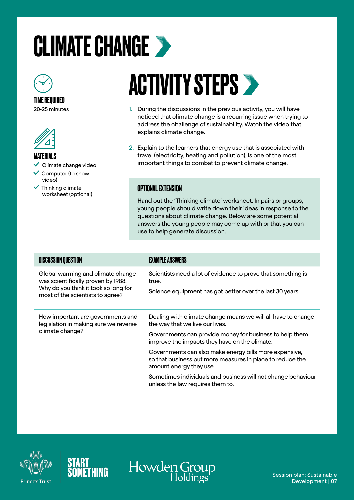### <span id="page-6-0"></span>CLIMATE CHANGE >



TIME REQUIRED 20-25 minutes



#### MATERIALS

 $\checkmark$  Climate change video

- Computer (to show
- video)  $\checkmark$  Thinking climate worksheet (optional)

### **ACTIVITY STEPS >**

- 1. During the discussions in the previous activity, you will have noticed that climate change is a recurring issue when trying to address the challenge of sustainability. Watch the video that explains climate change.
- 2. Explain to the learners that energy use that is associated with travel (electricity, heating and pollution), is one of the most important things to combat to prevent climate change.

#### OPTIONAL EXTENSION

Hand out the 'Thinking climate' worksheet. In pairs or groups, young people should write down their ideas in response to the questions about climate change. Below are some potential answers the young people may come up with or that you can use to help generate discussion.

| <b>DISCUSSION QUESTION</b>                                                                                                                          | <b>EXAMPLE ANSWERS</b>                                                                                                                                                                                                                                                                                                                                                                                                                                            |
|-----------------------------------------------------------------------------------------------------------------------------------------------------|-------------------------------------------------------------------------------------------------------------------------------------------------------------------------------------------------------------------------------------------------------------------------------------------------------------------------------------------------------------------------------------------------------------------------------------------------------------------|
| Global warming and climate change<br>was scientifically proven by 1988.<br>Why do you think it took so long for<br>most of the scientists to agree? | Scientists need a lot of evidence to prove that something is<br>true.<br>Science equipment has got better over the last 30 years.                                                                                                                                                                                                                                                                                                                                 |
| How important are governments and<br>legislation in making sure we reverse<br>climate change?                                                       | Dealing with climate change means we will all have to change<br>the way that we live our lives.<br>Governments can provide money for business to help them<br>improve the impacts they have on the climate.<br>Governments can also make energy bills more expensive,<br>so that business put more measures in place to reduce the<br>amount energy they use.<br>Sometimes individuals and business will not change behaviour<br>unless the law requires them to. |





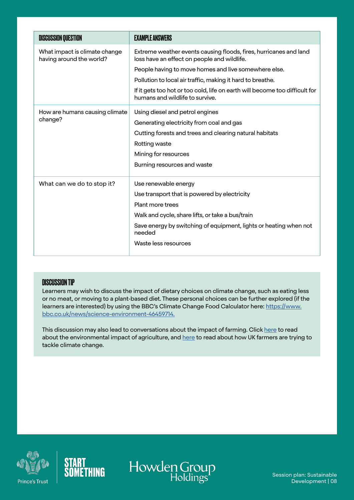| <b>DISCUSSION QUESTION</b>                                | <b>EXAMPLE ANSWERS</b>                                                                                           |
|-----------------------------------------------------------|------------------------------------------------------------------------------------------------------------------|
| What impact is climate change<br>having around the world? | Extreme weather events causing floods, fires, hurricanes and land<br>loss have an effect on people and wildlife. |
|                                                           | People having to move homes and live somewhere else.                                                             |
|                                                           | Pollution to local air traffic, making it hard to breathe.                                                       |
|                                                           | If it gets too hot or too cold, life on earth will become too difficult for<br>humans and wildlife to survive.   |
| How are humans causing climate<br>change?                 | Using diesel and petrol engines                                                                                  |
|                                                           | Generating electricity from coal and gas                                                                         |
|                                                           | Cutting forests and trees and clearing natural habitats                                                          |
|                                                           | Rotting waste                                                                                                    |
|                                                           | Mining for resources                                                                                             |
|                                                           | Burning resources and waste                                                                                      |
| What can we do to stop it?                                | Use renewable energy                                                                                             |
|                                                           | Use transport that is powered by electricity                                                                     |
|                                                           | Plant more trees                                                                                                 |
|                                                           | Walk and cycle, share lifts, or take a bus/train                                                                 |
|                                                           | Save energy by switching of equipment, lights or heating when not<br>needed                                      |
|                                                           | Waste less resources                                                                                             |

#### DISCUSSION TIP

Learners may wish to discuss the impact of dietary choices on climate change, such as eating less or no meat, or moving to a plant-based diet. These personal choices can be further explored (if the learners are interested) by using the BBC's Climate Change Food Calculator here: [https://www.](https://www.bbc.co.uk/news/science-environment-46459714) [bbc.co.uk/news/science-environment-46459714](https://www.bbc.co.uk/news/science-environment-46459714).

This discussion may also lead to conversations about the impact of farming. Click [here](https://www.futurelearn.com/info/courses/climate-smart-agriculture/0/steps/26564) to read about the environmental impact of agriculture, and [here](https://www.bbc.co.uk/news/uk-49044072) to read about how UK farmers are trying to tackle climate change.





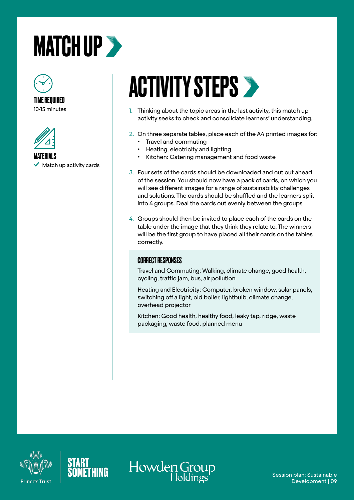### <span id="page-8-0"></span>**MATCH UP >>**



10-15 minutes



MATERIALS  $\checkmark$  Match up activity cards

### **ACTIVITY STEPS >**

- 1. Thinking about the topic areas in the last activity, this match up activity seeks to check and consolidate learners' understanding.
- 2. On three separate tables, place each of the A4 printed images for: • Travel and commuting
	- Heating, electricity and lighting
	- Kitchen: Catering management and food waste
- 3. Four sets of the cards should be downloaded and cut out ahead of the session. You should now have a pack of cards, on which you will see different images for a range of sustainability challenges and solutions. The cards should be shuffled and the learners split into 4 groups. Deal the cards out evenly between the groups.
- 4. Groups should then be invited to place each of the cards on the table under the image that they think they relate to. The winners will be the first group to have placed all their cards on the tables correctly.

#### CORRECT RESPONSES

Travel and Commuting: Walking, climate change, good health, cycling, traffic jam, bus, air pollution

Heating and Electricity: Computer, broken window, solar panels, switching off a light, old boiler, lightbulb, climate change, overhead projector

Kitchen: Good health, healthy food, leaky tap, ridge, waste packaging, waste food, planned menu